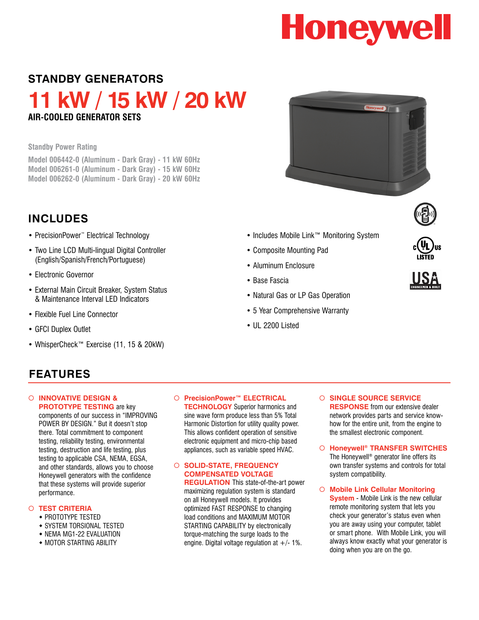# **Honeywell**

## **STANDBY GENERATORS**

**11 kW / 15 kW / 20 kW Air-Cooled Generator Sets**

**Standby Power Rating**

**Model 006442-0 (Aluminum - Dark Gray) - 11 kW 60Hz Model 006261-0 (Aluminum - Dark Gray) - 15 kW 60Hz Model 006262-0 (Aluminum - Dark Gray) - 20 kW 60Hz**

# **Includes**

- PrecisionPower™ Electrical Technology
- Two Line LCD Multi-lingual Digital Controller (English/Spanish/French/Portuguese)
- Electronic Governor
- External Main Circuit Breaker, System Status & Maintenance Interval LED Indicators
- Flexible Fuel Line Connector
- GFCI Duplex Outlet
- WhisperCheck™ Exercise (11, 15 & 20kW)



- Includes Mobile Link™ Monitoring System
- Composite Mounting Pad
- Aluminum Enclosure
- Base Fascia
- Natural Gas or LP Gas Operation
- 5 Year Comprehensive Warranty
- III 2200 Listed



### **FEATURES**

¡ **INNOVATIVE DESIGN & PROTOTYPE TESTING** are key

components of our success in "IMPROVING POWER BY DESIGN." But it doesn't stop there. Total commitment to component testing, reliability testing, environmental testing, destruction and life testing, plus testing to applicable CSA, NEMA, EGSA, and other standards, allows you to choose Honeywell generators with the confidence that these systems will provide superior performance.

### ¡ **TEST CRITERIA**

- **\* PROTOTYPE TESTED**
- **\* SYSTEM TORSIONAL TESTED**
- NEMA MG1-22 EVALUATION
- **\* MOTOR STARTING ABILITY**

### ○ **PrecisionPower™ ELECTRICAL**

**TECHNOLOGY** Superior harmonics and sine wave form produce less than 5% Total Harmonic Distortion for utility quality power. This allows confident operation of sensitive electronic equipment and micro-chip based appliances, such as variable speed HVAC.

#### ¡ **SOLID-STATE, FREQUENCY COMPENSATED VOLTAGE REGULATION** This state-of-the-art power

maximizing regulation system is standard on all Honeywell models. It provides optimized FAST RESPONSE to changing load conditions and MAXIMUM MOTOR STARTING CAPABILITY by electronically torque-matching the surge loads to the engine. Digital voltage regulation at  $+/-1\%$ .

- ¡ **SINGLE SOURCE SERVICE RESPONSE** from our extensive dealer network provides parts and service knowhow for the entire unit, from the engine to the smallest electronic component.
- ¡ **Honeywell® TRANSFER SWITCHES** The Honeywell® generator line offers its own transfer systems and controls for total system compatibility.
- ¡ **Mobile Link Cellular Monitoring System** - Mobile Link is the new cellular remote monitoring system that lets you check your generator's status even when you are away using your computer, tablet or smart phone. With Mobile Link, you will always know exactly what your generator is doing when you are on the go.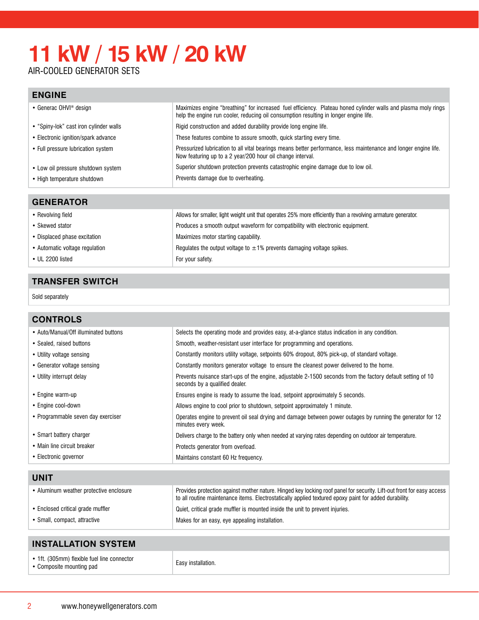# **11 kW / 15 kW / 20 kW**

AIR-COOLED GENERATOR SE

### **ENGINE**

| • Generac OHVI <sup>®</sup> design     | Maximizes engine "breathing" for increased fuel efficiency. Plateau honed cylinder walls and plasma moly rings<br>help the engine run cooler, reducing oil consumption resulting in longer engine life. |
|----------------------------------------|---------------------------------------------------------------------------------------------------------------------------------------------------------------------------------------------------------|
| • "Spiny-lok" cast iron cylinder walls | Rigid construction and added durability provide long engine life.                                                                                                                                       |
| • Electronic ignition/spark advance    | These features combine to assure smooth, quick starting every time.                                                                                                                                     |
| • Full pressure lubrication system     | Pressurized lubrication to all vital bearings means better performance, less maintenance and longer engine life.<br>Now featuring up to a 2 year/200 hour oil change interval.                          |
| • Low oil pressure shutdown system     | Superior shutdown protection prevents catastrophic engine damage due to low oil.                                                                                                                        |
| • High temperature shutdown            | Prevents damage due to overheating.                                                                                                                                                                     |

### **generator**

| • Revolving field              | Allows for smaller, light weight unit that operates 25% more efficiently than a revolving armature generator. |
|--------------------------------|---------------------------------------------------------------------------------------------------------------|
| • Skewed stator                | Produces a smooth output waveform for compatibility with electronic equipment.                                |
| • Displaced phase excitation   | Maximizes motor starting capability.                                                                          |
| • Automatic voltage regulation | Regulates the output voltage to $\pm 1\%$ prevents damaging voltage spikes.                                   |
| $\bullet$ UL 2200 listed       | For your safety.                                                                                              |

### **transfer switch**

Sold separately

| <b>CONTROLS</b>                       |                                                                                                                                               |
|---------------------------------------|-----------------------------------------------------------------------------------------------------------------------------------------------|
| • Auto/Manual/Off illuminated buttons | Selects the operating mode and provides easy, at-a-glance status indication in any condition.                                                 |
| • Sealed, raised buttons              | Smooth, weather-resistant user interface for programming and operations.                                                                      |
| • Utility voltage sensing             | Constantly monitors utility voltage, setpoints 60% dropout, 80% pick-up, of standard voltage.                                                 |
| • Generator voltage sensing           | Constantly monitors generator voltage to ensure the cleanest power delivered to the home.                                                     |
| • Utility interrupt delay             | Prevents nuisance start-ups of the engine, adjustable 2-1500 seconds from the factory default setting of 10<br>seconds by a qualified dealer. |
| • Engine warm-up                      | Ensures engine is ready to assume the load, setpoint approximately 5 seconds.                                                                 |
| • Engine cool-down                    | Allows engine to cool prior to shutdown, setpoint approximately 1 minute.                                                                     |
| • Programmable seven day exerciser    | Operates engine to prevent oil seal drying and damage between power outages by running the generator for 12<br>minutes every week.            |
| • Smart battery charger               | Delivers charge to the battery only when needed at varying rates depending on outdoor air temperature.                                        |
| • Main line circuit breaker           | Protects generator from overload.                                                                                                             |
| • Electronic governor                 | Maintains constant 60 Hz frequency.                                                                                                           |
|                                       |                                                                                                                                               |

| <b>UNIT</b>                             |                                                                                                                                                                                                                                 |
|-----------------------------------------|---------------------------------------------------------------------------------------------------------------------------------------------------------------------------------------------------------------------------------|
| • Aluminum weather protective enclosure | Provides protection against mother nature. Hinged key locking roof panel for security. Lift-out front for easy access<br>to all routine maintenance items. Electrostatically applied textured epoxy paint for added durability. |
| • Enclosed critical grade muffler       | Quiet, critical grade muffler is mounted inside the unit to prevent injuries.                                                                                                                                                   |
| • Small, compact, attractive            | Makes for an easy, eye appealing installation.                                                                                                                                                                                  |

| <b>INSTALLATION SYSTEM</b>                                              |                           |  |
|-------------------------------------------------------------------------|---------------------------|--|
| • 1ft. (305mm) flexible fuel line connector<br>• Composite mounting pad | <b>Easy installation.</b> |  |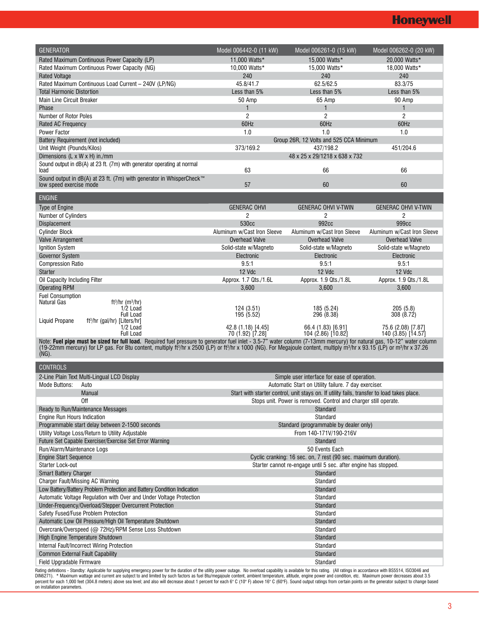| <b>GENERATOR</b>                                                                                                                                                                                                                                                                                                                                                                                                 | Model 006442-0 (11 kW)                | Model 006261-0 (15 kW)                                                                                                                             | Model 006262-0 (20 kW)          |
|------------------------------------------------------------------------------------------------------------------------------------------------------------------------------------------------------------------------------------------------------------------------------------------------------------------------------------------------------------------------------------------------------------------|---------------------------------------|----------------------------------------------------------------------------------------------------------------------------------------------------|---------------------------------|
| Rated Maximum Continuous Power Capacity (LP)                                                                                                                                                                                                                                                                                                                                                                     | 11,000 Watts*                         | 15,000 Watts*                                                                                                                                      | 20,000 Watts*                   |
| Rated Maximum Continuous Power Capacity (NG)                                                                                                                                                                                                                                                                                                                                                                     | 10,000 Watts*                         | 15.000 Watts*                                                                                                                                      | 18,000 Watts*                   |
| <b>Rated Voltage</b>                                                                                                                                                                                                                                                                                                                                                                                             | 240                                   | 240                                                                                                                                                | 240                             |
| Rated Maximum Continuous Load Current - 240V (LP/NG)                                                                                                                                                                                                                                                                                                                                                             | 45.8/41.7                             | 62.5/62.5                                                                                                                                          | 83.3/75                         |
| <b>Total Harmonic Distortion</b>                                                                                                                                                                                                                                                                                                                                                                                 | Less than 5%                          | Less than 5%                                                                                                                                       | Less than 5%                    |
| <b>Main Line Circuit Breaker</b>                                                                                                                                                                                                                                                                                                                                                                                 | 50 Amp<br>$\mathbf{1}$                | 65 Amp                                                                                                                                             | 90 Amp                          |
| Phase<br>Number of Rotor Poles                                                                                                                                                                                                                                                                                                                                                                                   | $\overline{2}$                        | $\mathbf{1}$<br>$\overline{2}$                                                                                                                     | $\mathbf{1}$<br>2               |
| <b>Rated AC Frequency</b>                                                                                                                                                                                                                                                                                                                                                                                        | 60Hz                                  | 60Hz                                                                                                                                               | 60Hz                            |
| <b>Power Factor</b>                                                                                                                                                                                                                                                                                                                                                                                              | 1.0                                   | 1.0                                                                                                                                                | 1.0                             |
| Battery Requirement (not included)                                                                                                                                                                                                                                                                                                                                                                               |                                       | Group 26R, 12 Volts and 525 CCA Minimum                                                                                                            |                                 |
| Unit Weight (Pounds/Kilos)                                                                                                                                                                                                                                                                                                                                                                                       | 373/169.2                             | 437/198.2                                                                                                                                          | 451/204.6                       |
| Dimensions (L x W x H) in./mm                                                                                                                                                                                                                                                                                                                                                                                    |                                       | 48 x 25 x 29/1218 x 638 x 732                                                                                                                      |                                 |
| Sound output in dB(A) at 23 ft. (7m) with generator operating at normal                                                                                                                                                                                                                                                                                                                                          | 63                                    | 66                                                                                                                                                 | 66                              |
| load<br>Sound output in dB(A) at 23 ft. (7m) with generator in WhisperCheck™                                                                                                                                                                                                                                                                                                                                     |                                       |                                                                                                                                                    |                                 |
| low speed exercise mode                                                                                                                                                                                                                                                                                                                                                                                          | 57                                    | 60                                                                                                                                                 | 60                              |
|                                                                                                                                                                                                                                                                                                                                                                                                                  |                                       |                                                                                                                                                    |                                 |
| <b>ENGINE</b>                                                                                                                                                                                                                                                                                                                                                                                                    |                                       |                                                                                                                                                    |                                 |
| Type of Engine                                                                                                                                                                                                                                                                                                                                                                                                   | <b>GENERAC OHVI</b><br>$\overline{c}$ | <b>GENERAC OHVI V-TWIN</b><br>2                                                                                                                    | <b>GENERAC OHVI V-TWIN</b><br>2 |
| <b>Number of Cylinders</b><br><b>Displacement</b>                                                                                                                                                                                                                                                                                                                                                                | 530cc                                 | 992cc                                                                                                                                              | 999cc                           |
| <b>Cylinder Block</b>                                                                                                                                                                                                                                                                                                                                                                                            | Aluminum w/Cast Iron Sleeve           | Aluminum w/Cast Iron Sleeve                                                                                                                        | Aluminum w/Cast Iron Sleeve     |
| Valve Arrangement                                                                                                                                                                                                                                                                                                                                                                                                | <b>Overhead Valve</b>                 | <b>Overhead Valve</b>                                                                                                                              | <b>Overhead Valve</b>           |
| Ignition System                                                                                                                                                                                                                                                                                                                                                                                                  | Solid-state w/Magneto                 | Solid-state w/Magneto                                                                                                                              | Solid-state w/Magneto           |
| Governor System                                                                                                                                                                                                                                                                                                                                                                                                  | Electronic                            | Electronic                                                                                                                                         | Electronic                      |
| <b>Compression Ratio</b>                                                                                                                                                                                                                                                                                                                                                                                         | 9.5:1                                 | 9.5:1                                                                                                                                              | 9.5:1                           |
| <b>Starter</b>                                                                                                                                                                                                                                                                                                                                                                                                   | 12 Vdc                                | 12 Vdc                                                                                                                                             | 12 Vdc                          |
| Oil Capacity Including Filter                                                                                                                                                                                                                                                                                                                                                                                    | Approx. 1.7 Qts./1.6L                 | Approx. 1.9 Qts./1.8L                                                                                                                              | Approx. 1.9 Qts./1.8L           |
| <b>Operating RPM</b>                                                                                                                                                                                                                                                                                                                                                                                             | 3,600                                 | 3,600                                                                                                                                              | 3,600                           |
| <b>Fuel Consumption</b><br>Natural Gas<br>$ft3/hr$ (m <sup>3</sup> /hr)                                                                                                                                                                                                                                                                                                                                          |                                       |                                                                                                                                                    |                                 |
| 1/2 Load                                                                                                                                                                                                                                                                                                                                                                                                         | 124 (3.51)                            | 185 (5.24)                                                                                                                                         | 205(5.8)                        |
| <b>Full Load</b>                                                                                                                                                                                                                                                                                                                                                                                                 | 195(5.52)                             | 296 (8.38)                                                                                                                                         | 308 (8.72)                      |
| Liquid Propane<br>ft <sup>3</sup> /hr (gal/hr) [Liters/hr]<br>$1/2$ Load                                                                                                                                                                                                                                                                                                                                         | 42.8 (1.18) [4.45]                    | 66.4 (1.83) [6.91]                                                                                                                                 | 75.6 (2.08) [7.87]              |
| <b>Full Load</b>                                                                                                                                                                                                                                                                                                                                                                                                 | 70 (1.92) [7.28]                      | 104 (2.86) [10.82]                                                                                                                                 | 140 (3.85) [14.57]              |
| Note: Fuel pipe must be sized for full load. Required fuel pressure to generator fuel inlet - 3.5-7" water column (7-13mm mercury) for natural gas, 10-12" water column<br>(19-22mm mercury) for LP gas. For Btu content, multiply ft <sup>3</sup> /hr x 2500 (LP) or ft <sup>3</sup> /hr x 1000 (NG). For Megajoule content, multiply m <sup>3</sup> /hr x 93.15 (LP) or m <sup>3</sup> /hr x 37.26<br>$(NG)$ . |                                       |                                                                                                                                                    |                                 |
|                                                                                                                                                                                                                                                                                                                                                                                                                  |                                       |                                                                                                                                                    |                                 |
| <b>CONTROLS</b>                                                                                                                                                                                                                                                                                                                                                                                                  |                                       |                                                                                                                                                    |                                 |
| 2-Line Plain Text Multi-Lingual LCD Display                                                                                                                                                                                                                                                                                                                                                                      |                                       | Simple user interface for ease of operation.                                                                                                       |                                 |
| <b>Mode Buttons:</b><br>Auto<br>Manual                                                                                                                                                                                                                                                                                                                                                                           |                                       | Automatic Start on Utility failure. 7 day exerciser.<br>Start with starter control, unit stays on. If utility fails, transfer to load takes place. |                                 |
| Off                                                                                                                                                                                                                                                                                                                                                                                                              |                                       | Stops unit. Power is removed. Control and charger still operate.                                                                                   |                                 |
| Ready to Run/Maintenance Messages                                                                                                                                                                                                                                                                                                                                                                                |                                       | Standard                                                                                                                                           |                                 |
| Engine Run Hours Indication                                                                                                                                                                                                                                                                                                                                                                                      |                                       | Standard                                                                                                                                           |                                 |
| Programmable start delay between 2-1500 seconds                                                                                                                                                                                                                                                                                                                                                                  |                                       | Standard (programmable by dealer only)                                                                                                             |                                 |
| Utility Voltage Loss/Return to Utility Adjustable                                                                                                                                                                                                                                                                                                                                                                |                                       | From 140-171V/190-216V                                                                                                                             |                                 |
| Future Set Capable Exerciser/Exercise Set Error Warning                                                                                                                                                                                                                                                                                                                                                          |                                       | Standard                                                                                                                                           |                                 |
| Run/Alarm/Maintenance Logs                                                                                                                                                                                                                                                                                                                                                                                       |                                       | 50 Events Each                                                                                                                                     |                                 |
| <b>Engine Start Sequence</b>                                                                                                                                                                                                                                                                                                                                                                                     |                                       | Cyclic cranking: 16 sec. on, 7 rest (90 sec. maximum duration).                                                                                    |                                 |
| Starter Lock-out<br><b>Smart Battery Charger</b>                                                                                                                                                                                                                                                                                                                                                                 |                                       | Starter cannot re-engage until 5 sec. after engine has stopped.<br>Standard                                                                        |                                 |
| <b>Charger Fault/Missing AC Warning</b>                                                                                                                                                                                                                                                                                                                                                                          |                                       | Standard                                                                                                                                           |                                 |
| Low Battery/Battery Problem Protection and Battery Condition Indication                                                                                                                                                                                                                                                                                                                                          |                                       | Standard                                                                                                                                           |                                 |
| Automatic Voltage Regulation with Over and Under Voltage Protection                                                                                                                                                                                                                                                                                                                                              |                                       | Standard                                                                                                                                           |                                 |
| Under-Frequency/Overload/Stepper Overcurrent Protection                                                                                                                                                                                                                                                                                                                                                          |                                       | Standard                                                                                                                                           |                                 |
| Safety Fused/Fuse Problem Protection                                                                                                                                                                                                                                                                                                                                                                             |                                       | Standard                                                                                                                                           |                                 |
| Automatic Low Oil Pressure/High Oil Temperature Shutdown                                                                                                                                                                                                                                                                                                                                                         |                                       | Standard                                                                                                                                           |                                 |
| Overcrank/Overspeed (@ 72Hz)/RPM Sense Loss Shutdown                                                                                                                                                                                                                                                                                                                                                             |                                       | Standard                                                                                                                                           |                                 |
| High Engine Temperature Shutdown                                                                                                                                                                                                                                                                                                                                                                                 |                                       | Standard                                                                                                                                           |                                 |
| Internal Fault/Incorrect Wiring Protection<br><b>Common External Fault Capability</b>                                                                                                                                                                                                                                                                                                                            |                                       | Standard<br>Standard                                                                                                                               |                                 |
| Field Upgradable Firmware                                                                                                                                                                                                                                                                                                                                                                                        |                                       | Standard                                                                                                                                           |                                 |
|                                                                                                                                                                                                                                                                                                                                                                                                                  |                                       |                                                                                                                                                    |                                 |

Rating definitions - Standby: Applicable for supplying emergency power for the duration of the utility power outage. No overload capability is available for this rating. (All ratings in accordance with BS5514, ISO3046 and<br>